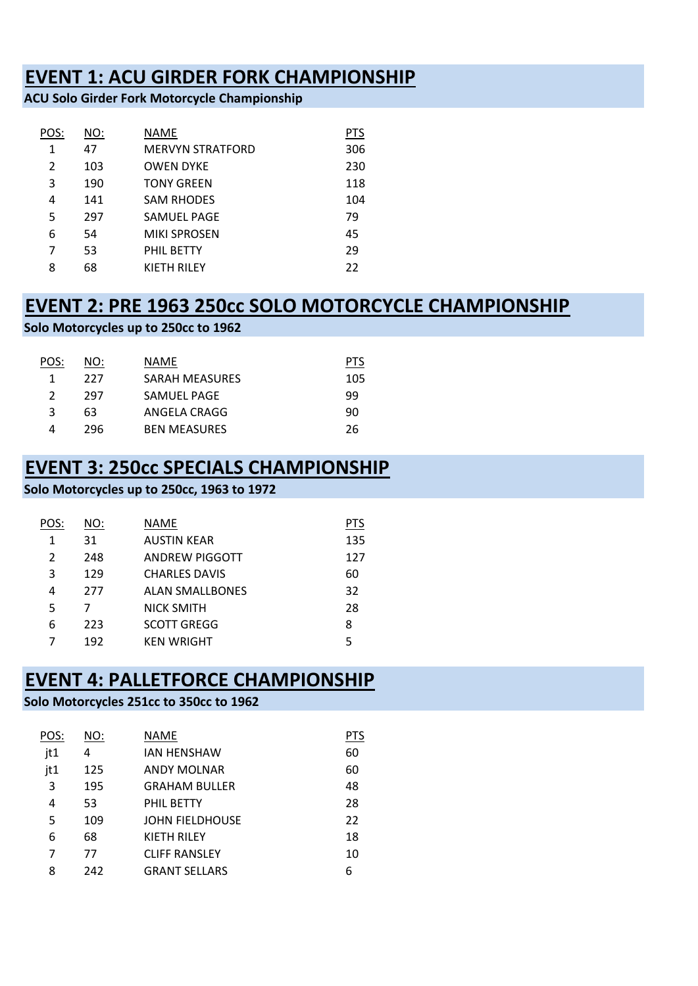## **EVENT 1: ACU GIRDER FORK CHAMPIONSHIP**

**ACU Solo Girder Fork Motorcycle Championship**

| POS:           | NO: | NAME                    | <u>PTS</u> |
|----------------|-----|-------------------------|------------|
| 1              | 47  | <b>MERVYN STRATFORD</b> | 306        |
| 2              | 103 | <b>OWEN DYKE</b>        | 230        |
| 3              | 190 | <b>TONY GREEN</b>       | 118        |
| 4              | 141 | <b>SAM RHODES</b>       | 104        |
| 5              | 297 | <b>SAMUEL PAGE</b>      | 79         |
| 6              | 54  | <b>MIKI SPROSEN</b>     | 45         |
| $\overline{7}$ | 53  | PHIL BETTY              | 29         |
| 8              | 68  | <b>KIETH RILEY</b>      | 22         |

# **EVENT 2: PRE 1963 250cc SOLO MOTORCYCLE CHAMPIONSHIP**

```
Solo Motorcycles up to 250cc to 1962
```

| POS: | NO: | NAME                | PIS |
|------|-----|---------------------|-----|
|      | 227 | SARAH MEASURES      | 105 |
|      | 297 | SAMUEL PAGE         | 99  |
| ੨    | 63  | ANGELA CRAGG        | 90  |
| Δ    | 296 | <b>BEN MEASURES</b> | 26  |

## **EVENT 3: 250cc SPECIALS CHAMPIONSHIP**

### **Solo Motorcycles up to 250cc, 1963 to 1972**

| POS: | NO: | NAME                   | <b>PTS</b> |
|------|-----|------------------------|------------|
| 1    | 31  | <b>AUSTIN KEAR</b>     | 135        |
| 2    | 248 | ANDREW PIGGOTT         | 127        |
| 3    | 129 | <b>CHARLES DAVIS</b>   | 60         |
| 4    | 277 | <b>ALAN SMALLBONES</b> | 32         |
| 5    | 7   | <b>NICK SMITH</b>      | 28         |
| 6    | 223 | <b>SCOTT GREGG</b>     | 8          |
| 7    | 192 | <b>KEN WRIGHT</b>      | 5          |

## **EVENT 4: PALLETFORCE CHAMPIONSHIP**

### **Solo Motorcycles 251cc to 350cc to 1962**

| POS: | NO: | NAME                 | PTS |
|------|-----|----------------------|-----|
| jt1  | 4   | <b>JAN HENSHAW</b>   | 60  |
| jt1  | 125 | ANDY MOLNAR          | 60  |
| 3    | 195 | <b>GRAHAM BULLER</b> | 48  |
| 4    | 53  | PHIL BETTY           | 28  |
| 5    | 109 | JOHN FIELDHOUSE      | 22  |
| 6    | 68  | <b>KIETH RILEY</b>   | 18  |
| 7    | 77  | <b>CLIFF RANSLEY</b> | 10  |
| 8    | 242 | <b>GRANT SELLARS</b> | 6   |
|      |     |                      |     |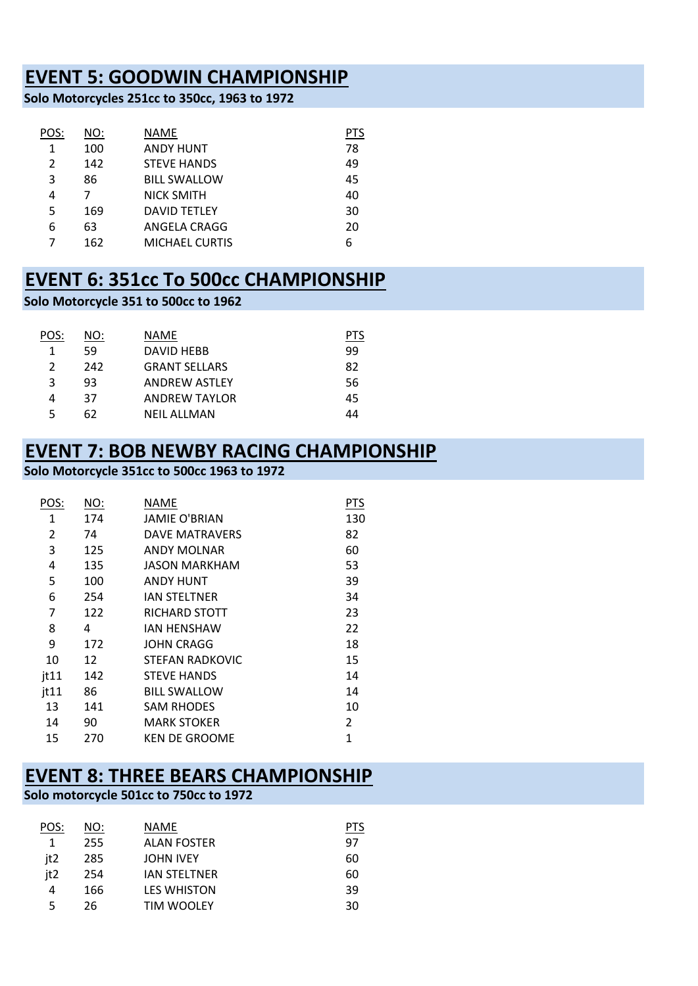## **EVENT 5: GOODWIN CHAMPIONSHIP**

**Solo Motorcycles 251cc to 350cc, 1963 to 1972**

| POS:           | <u>NO:</u> | NAME                  | PTS |
|----------------|------------|-----------------------|-----|
| 1              | 100        | <b>ANDY HUNT</b>      | 78  |
| $\overline{2}$ | 142        | <b>STEVE HANDS</b>    | 49  |
| 3              | 86         | <b>BILL SWALLOW</b>   | 45  |
| 4              | 7          | <b>NICK SMITH</b>     | 40  |
| 5              | 169        | <b>DAVID TETLEY</b>   | 30  |
| 6              | 63         | ANGELA CRAGG          | 20  |
|                | 162        | <b>MICHAEL CURTIS</b> | 6   |

## **EVENT 6: 351cc To 500cc CHAMPIONSHIP**

#### **Solo Motorcycle 351 to 500cc to 1962**

| POS:          | NO: | NAME                 |    |
|---------------|-----|----------------------|----|
| 1             | 59  | DAVID HEBB           | 99 |
| $\mathcal{P}$ | 242 | <b>GRANT SELLARS</b> | 82 |
| ς             | 93  | <b>ANDREW ASTLEY</b> | 56 |
|               | 37  | ANDREW TAYLOR        | 45 |
|               | 62  | NFIL ALLMAN          | 44 |

### **EVENT 7: BOB NEWBY RACING CHAMPIONSHIP**

#### **Solo Motorcycle 351cc to 500cc 1963 to 1972**

| POS:          | <u>NO:</u> | NAME                  | <b>PTS</b> |
|---------------|------------|-----------------------|------------|
| 1             | 174        | <b>JAMIE O'BRIAN</b>  | 130        |
| 2             | 74         | <b>DAVE MATRAVERS</b> | 82         |
| 3             | 125        | <b>ANDY MOLNAR</b>    | 60         |
| 4             | 135        | <b>JASON MARKHAM</b>  | 53         |
| 5             | 100        | <b>ANDY HUNT</b>      | 39         |
| 6             | 254        | <b>IAN STELTNER</b>   | 34         |
| 7             | 122        | RICHARD STOTT         | 23         |
| 8             | 4          | IAN HENSHAW           | 22         |
| 9             | 172        | <b>JOHN CRAGG</b>     | 18         |
| 10            | 12         | STEFAN RADKOVIC       | 15         |
| $\dot{}$ it11 | 142        | <b>STEVE HANDS</b>    | 14         |
| jt11          | 86         | <b>BILL SWALLOW</b>   | 14         |
| 13            | 141        | <b>SAM RHODES</b>     | 10         |
| 14            | 90         | <b>MARK STOKER</b>    | 2          |
| 15            | 270        | <b>KEN DE GROOME</b>  | 1          |

### **EVENT 8: THREE BEARS CHAMPIONSHIP**

### **Solo motorcycle 501cc to 750cc to 1972**

| POS: | NO: | NAME                | PIS |
|------|-----|---------------------|-----|
| 1    | 255 | ALAN FOSTER         | 97  |
| it2  | 285 | <b>JOHN IVEY</b>    | 60  |
| jt2  | 254 | <b>JAN STELTNER</b> | 60  |
| 4    | 166 | <b>LES WHISTON</b>  | 39  |
| 5    | 26  | <b>TIM WOOLEY</b>   | 30  |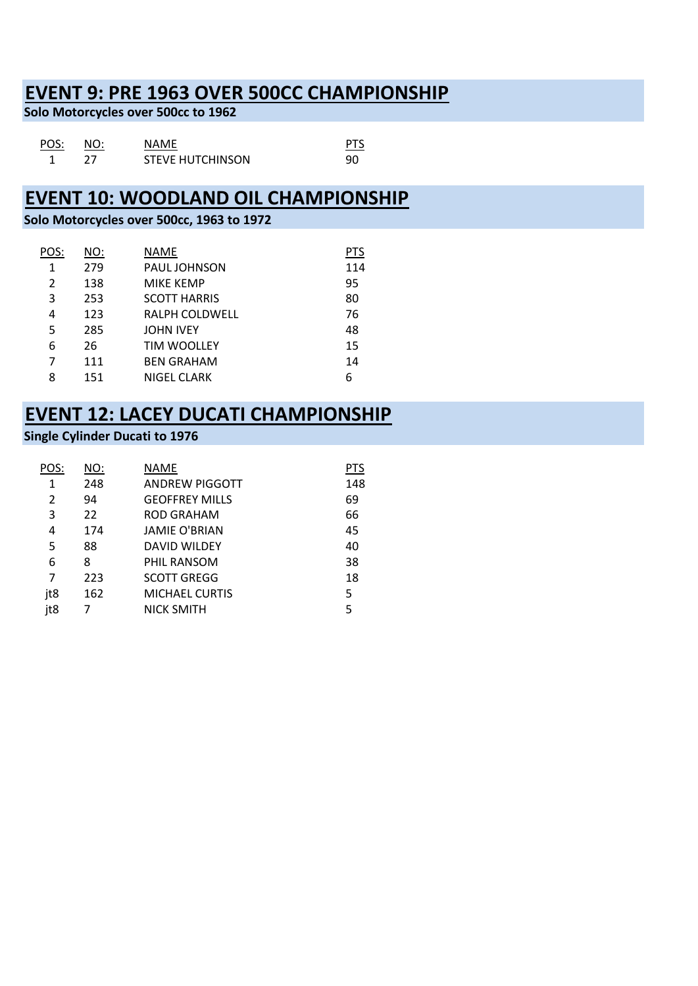## **EVENT 9: PRE 1963 OVER 500CC CHAMPIONSHIP**

**Solo Motorcycles over 500cc to 1962**

| POS: | NO: | <b>NAMF</b>             |    |
|------|-----|-------------------------|----|
|      |     | <b>STEVE HUTCHINSON</b> | 90 |

### **EVENT 10: WOODLAND OIL CHAMPIONSHIP**

### **Solo Motorcycles over 500cc, 1963 to 1972**

| POS:           | <u>NO:</u> | NAME                | <b>PTS</b> |
|----------------|------------|---------------------|------------|
| 1              | 279        | <b>PAUL JOHNSON</b> | 114        |
| $\overline{2}$ | 138        | <b>MIKE KEMP</b>    | 95         |
| 3              | 253        | <b>SCOTT HARRIS</b> | 80         |
| 4              | 123        | RALPH COLDWELL      | 76         |
| 5              | 285        | <b>JOHN IVEY</b>    | 48         |
| 6              | 26         | <b>TIM WOOLLEY</b>  | 15         |
| 7              | 111        | <b>BEN GRAHAM</b>   | 14         |
| 8              | 151        | NIGEL CLARK         | 6          |

### **EVENT 12: LACEY DUCATI CHAMPIONSHIP**

### **Single Cylinder Ducati to 1976**

| POS: | NO: | NAME                  | PTS |
|------|-----|-----------------------|-----|
| 1    | 248 | <b>ANDREW PIGGOTT</b> | 148 |
| 2    | 94  | <b>GEOFFREY MILLS</b> | 69  |
| 3    | 22  | ROD GRAHAM            | 66  |
| 4    | 174 | <b>JAMIE O'BRIAN</b>  | 45  |
| 5    | 88  | <b>DAVID WILDEY</b>   | 40  |
| 6    | 8   | PHIL RANSOM           | 38  |
| 7    | 223 | <b>SCOTT GREGG</b>    | 18  |
| jt8  | 162 | <b>MICHAEL CURTIS</b> | 5   |
| jt8  | 7   | <b>NICK SMITH</b>     | 5   |